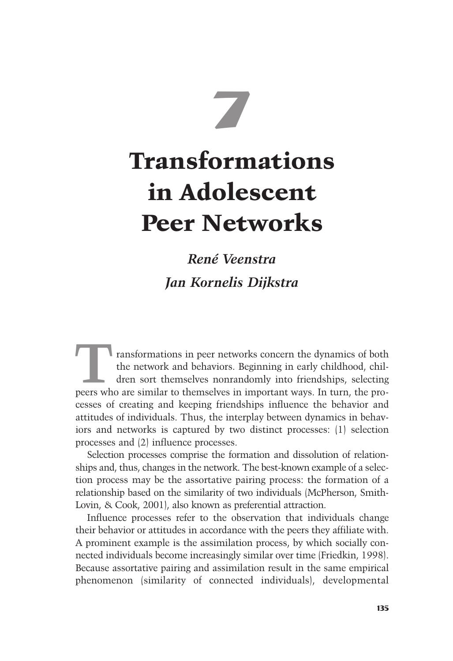# 7

## Transformations in Adolescent Peer Networks

### *René Veenstra Jan Kornelis Dijkstra*

ransformations in peer networks concern the dynamics of both the network and behaviors. Beginning in early childhood, children sort themselves nonrandomly into friendships, selecting peers who are similar to themselves in important ways. In turn, the processes of creating and keeping friendships influence the behavior and attitudes of individuals. Thus, the interplay between dynamics in behaviors and networks is captured by two distinct processes: (1) selection processes and (2) influence processes.

Selection processes comprise the formation and dissolution of relationships and, thus, changes in the network. The best-known example of a selection process may be the assortative pairing process: the formation of a relationship based on the similarity of two individuals (McPherson, Smith-Lovin, & Cook, 2001), also known as preferential attraction.

Influence processes refer to the observation that individuals change their behavior or attitudes in accordance with the peers they affiliate with. A prominent example is the assimilation process, by which socially connected individuals become increasingly similar over time (Friedkin, 1998). Because assortative pairing and assimilation result in the same empirical phenomenon (similarity of connected individuals), developmental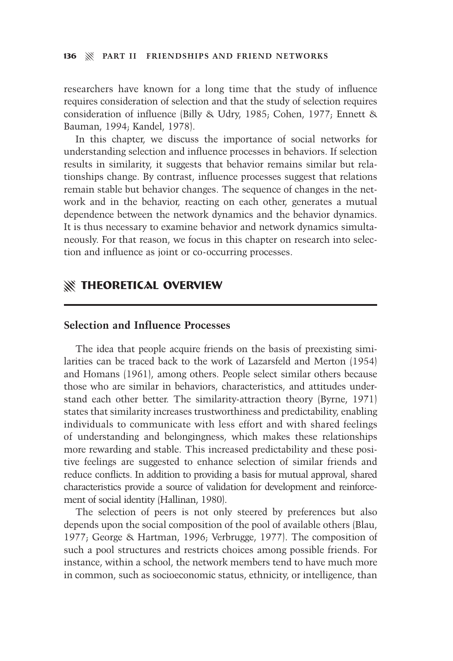researchers have known for a long time that the study of influence requires consideration of selection and that the study of selection requires consideration of influence (Billy & Udry, 1985; Cohen, 1977; Ennett & Bauman, 1994; Kandel, 1978).

In this chapter, we discuss the importance of social networks for understanding selection and influence processes in behaviors. If selection results in similarity, it suggests that behavior remains similar but relationships change. By contrast, influence processes suggest that relations remain stable but behavior changes. The sequence of changes in the network and in the behavior, reacting on each other, generates a mutual dependence between the network dynamics and the behavior dynamics. It is thus necessary to examine behavior and network dynamics simultaneously. For that reason, we focus in this chapter on research into selection and influence as joint or co-occurring processes.

#### - **Theoretical Overview**

#### **Selection and Influence Processes**

The idea that people acquire friends on the basis of preexisting similarities can be traced back to the work of Lazarsfeld and Merton (1954) and Homans (1961), among others. People select similar others because those who are similar in behaviors, characteristics, and attitudes understand each other better. The similarity-attraction theory (Byrne, 1971) states that similarity increases trustworthiness and predictability, enabling individuals to communicate with less effort and with shared feelings of understanding and belongingness, which makes these relationships more rewarding and stable. This increased predictability and these positive feelings are suggested to enhance selection of similar friends and reduce conflicts. In addition to providing a basis for mutual approval, shared characteristics provide a source of validation for development and reinforcement of social identity (Hallinan, 1980).

The selection of peers is not only steered by preferences but also depends upon the social composition of the pool of available others (Blau, 1977; George & Hartman, 1996; Verbrugge, 1977). The composition of such a pool structures and restricts choices among possible friends. For instance, within a school, the network members tend to have much more in common, such as socioeconomic status, ethnicity, or intelligence, than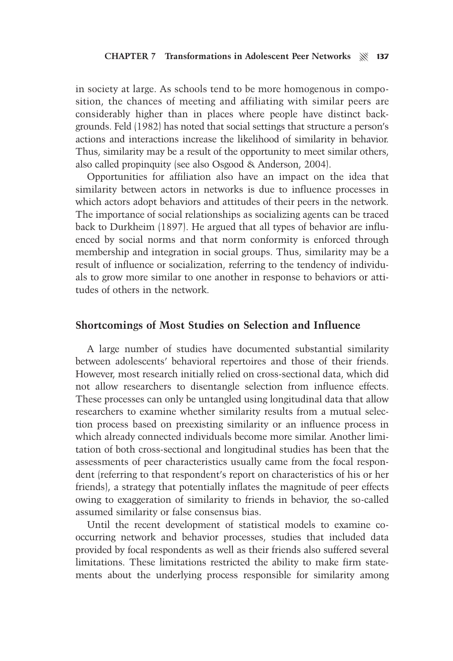in society at large. As schools tend to be more homogenous in composition, the chances of meeting and affiliating with similar peers are considerably higher than in places where people have distinct backgrounds. Feld (1982) has noted that social settings that structure a person's actions and interactions increase the likelihood of similarity in behavior. Thus, similarity may be a result of the opportunity to meet similar others, also called propinquity (see also Osgood & Anderson, 2004).

Opportunities for affiliation also have an impact on the idea that similarity between actors in networks is due to influence processes in which actors adopt behaviors and attitudes of their peers in the network. The importance of social relationships as socializing agents can be traced back to Durkheim (1897). He argued that all types of behavior are influenced by social norms and that norm conformity is enforced through membership and integration in social groups. Thus, similarity may be a result of influence or socialization, referring to the tendency of individuals to grow more similar to one another in response to behaviors or attitudes of others in the network.

#### **Shortcomings of Most Studies on Selection and Influence**

A large number of studies have documented substantial similarity between adolescents' behavioral repertoires and those of their friends. However, most research initially relied on cross-sectional data, which did not allow researchers to disentangle selection from influence effects. These processes can only be untangled using longitudinal data that allow researchers to examine whether similarity results from a mutual selection process based on preexisting similarity or an influence process in which already connected individuals become more similar. Another limitation of both cross-sectional and longitudinal studies has been that the assessments of peer characteristics usually came from the focal respondent (referring to that respondent's report on characteristics of his or her friends), a strategy that potentially inflates the magnitude of peer effects owing to exaggeration of similarity to friends in behavior, the so-called assumed similarity or false consensus bias.

Until the recent development of statistical models to examine cooccurring network and behavior processes, studies that included data provided by focal respondents as well as their friends also suffered several limitations. These limitations restricted the ability to make firm statements about the underlying process responsible for similarity among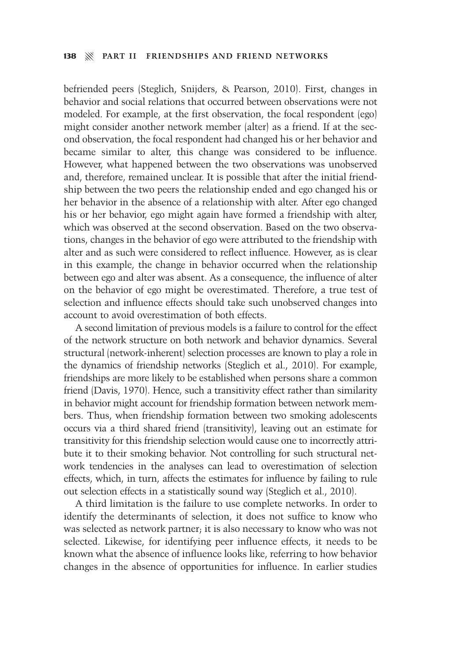befriended peers (Steglich, Snijders, & Pearson, 2010). First, changes in behavior and social relations that occurred between observations were not modeled. For example, at the first observation, the focal respondent (ego) might consider another network member (alter) as a friend. If at the second observation, the focal respondent had changed his or her behavior and became similar to alter, this change was considered to be influence. However, what happened between the two observations was unobserved and, therefore, remained unclear. It is possible that after the initial friendship between the two peers the relationship ended and ego changed his or her behavior in the absence of a relationship with alter. After ego changed his or her behavior, ego might again have formed a friendship with alter, which was observed at the second observation. Based on the two observations, changes in the behavior of ego were attributed to the friendship with alter and as such were considered to reflect influence. However, as is clear in this example, the change in behavior occurred when the relationship between ego and alter was absent. As a consequence, the influence of alter on the behavior of ego might be overestimated. Therefore, a true test of selection and influence effects should take such unobserved changes into account to avoid overestimation of both effects.

A second limitation of previous models is a failure to control for the effect of the network structure on both network and behavior dynamics. Several structural (network-inherent) selection processes are known to play a role in the dynamics of friendship networks (Steglich et al., 2010). For example, friendships are more likely to be established when persons share a common friend (Davis, 1970). Hence, such a transitivity effect rather than similarity in behavior might account for friendship formation between network members. Thus, when friendship formation between two smoking adolescents occurs via a third shared friend (transitivity), leaving out an estimate for transitivity for this friendship selection would cause one to incorrectly attribute it to their smoking behavior. Not controlling for such structural network tendencies in the analyses can lead to overestimation of selection effects, which, in turn, affects the estimates for influence by failing to rule out selection effects in a statistically sound way (Steglich et al., 2010).

A third limitation is the failure to use complete networks. In order to identify the determinants of selection, it does not suffice to know who was selected as network partner; it is also necessary to know who was not selected. Likewise, for identifying peer influence effects, it needs to be known what the absence of influence looks like, referring to how behavior changes in the absence of opportunities for influence. In earlier studies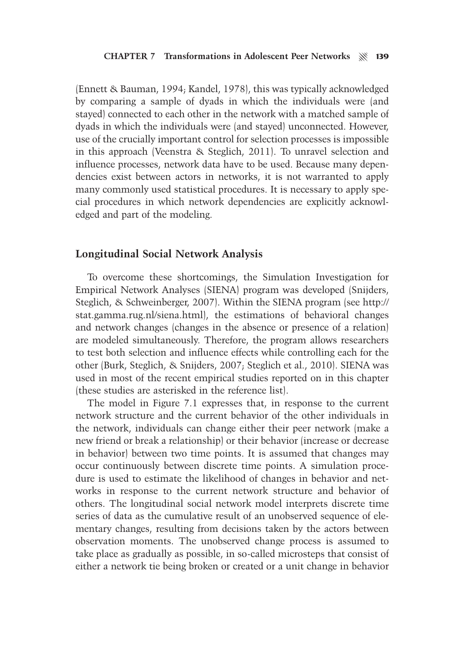(Ennett & Bauman, 1994; Kandel, 1978), this was typically acknowledged by comparing a sample of dyads in which the individuals were (and stayed) connected to each other in the network with a matched sample of dyads in which the individuals were (and stayed) unconnected. However, use of the crucially important control for selection processes is impossible in this approach (Veenstra & Steglich, 2011). To unravel selection and influence processes, network data have to be used. Because many dependencies exist between actors in networks, it is not warranted to apply many commonly used statistical procedures. It is necessary to apply special procedures in which network dependencies are explicitly acknowledged and part of the modeling.

#### **Longitudinal Social Network Analysis**

To overcome these shortcomings, the Simulation Investigation for Empirical Network Analyses (SIENA) program was developed (Snijders, Steglich, & Schweinberger, 2007). Within the SIENA program (see http:// stat.gamma.rug.nl/siena.html), the estimations of behavioral changes and network changes (changes in the absence or presence of a relation) are modeled simultaneously. Therefore, the program allows researchers to test both selection and influence effects while controlling each for the other (Burk, Steglich, & Snijders, 2007; Steglich et al., 2010). SIENA was used in most of the recent empirical studies reported on in this chapter (these studies are asterisked in the reference list).

The model in Figure 7.1 expresses that, in response to the current network structure and the current behavior of the other individuals in the network, individuals can change either their peer network (make a new friend or break a relationship) or their behavior (increase or decrease in behavior) between two time points. It is assumed that changes may occur continuously between discrete time points. A simulation procedure is used to estimate the likelihood of changes in behavior and networks in response to the current network structure and behavior of others. The longitudinal social network model interprets discrete time series of data as the cumulative result of an unobserved sequence of elementary changes, resulting from decisions taken by the actors between observation moments. The unobserved change process is assumed to take place as gradually as possible, in so-called microsteps that consist of either a network tie being broken or created or a unit change in behavior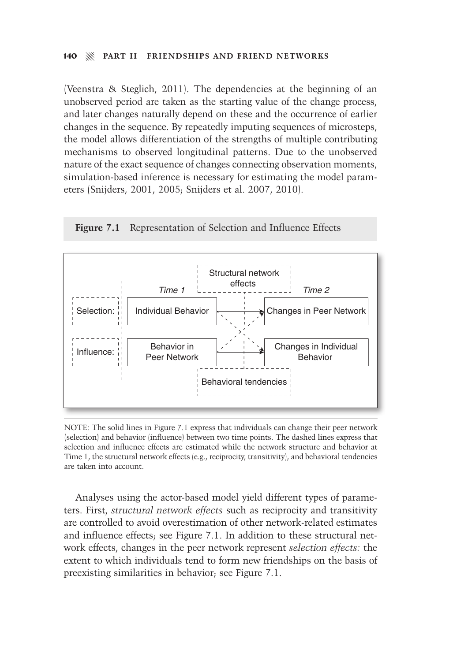(Veenstra & Steglich, 2011). The dependencies at the beginning of an unobserved period are taken as the starting value of the change process, and later changes naturally depend on these and the occurrence of earlier changes in the sequence. By repeatedly imputing sequences of microsteps, the model allows differentiation of the strengths of multiple contributing mechanisms to observed longitudinal patterns. Due to the unobserved nature of the exact sequence of changes connecting observation moments, simulation-based inference is necessary for estimating the model parameters (Snijders, 2001, 2005; Snijders et al. 2007, 2010).





NOTE: The solid lines in Figure 7.1 express that individuals can change their peer network (selection) and behavior (influence) between two time points. The dashed lines express that selection and influence effects are estimated while the network structure and behavior at Time 1, the structural network effects (e.g., reciprocity, transitivity), and behavioral tendencies are taken into account.

Analyses using the actor-based model yield different types of parameters. First, *structural network effects* such as reciprocity and transitivity are controlled to avoid overestimation of other network-related estimates and influence effects; see Figure 7.1. In addition to these structural network effects, changes in the peer network represent *selection effects:* the extent to which individuals tend to form new friendships on the basis of preexisting similarities in behavior; see Figure 7.1.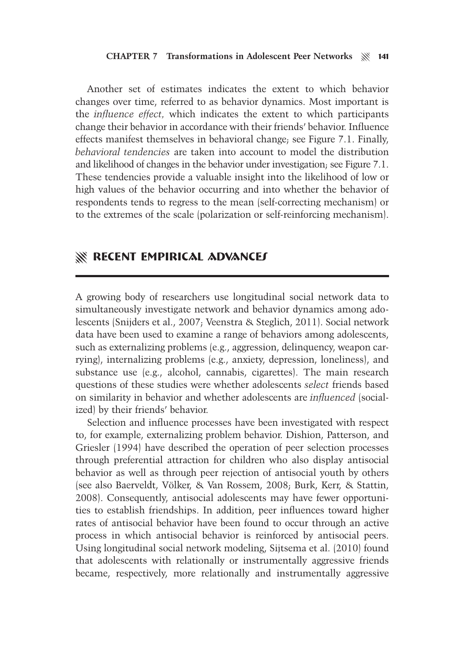Another set of estimates indicates the extent to which behavior changes over time, referred to as behavior dynamics. Most important is the *influence effect,* which indicates the extent to which participants change their behavior in accordance with their friends' behavior. Influence effects manifest themselves in behavioral change; see Figure 7.1. Finally, *behavioral tendencies* are taken into account to model the distribution and likelihood of changes in the behavior under investigation; see Figure 7.1. These tendencies provide a valuable insight into the likelihood of low or high values of the behavior occurring and into whether the behavior of respondents tends to regress to the mean (self-correcting mechanism) or to the extremes of the scale (polarization or self-reinforcing mechanism).

#### - **Recent Empirical Advances**

A growing body of researchers use longitudinal social network data to simultaneously investigate network and behavior dynamics among adolescents (Snijders et al., 2007; Veenstra & Steglich, 2011). Social network data have been used to examine a range of behaviors among adolescents, such as externalizing problems (e.g., aggression, delinquency, weapon carrying), internalizing problems (e.g., anxiety, depression, loneliness), and substance use (e.g., alcohol, cannabis, cigarettes). The main research questions of these studies were whether adolescents *select* friends based on similarity in behavior and whether adolescents are *influenced* (socialized) by their friends' behavior.

Selection and influence processes have been investigated with respect to, for example, externalizing problem behavior. Dishion, Patterson, and Griesler (1994) have described the operation of peer selection processes through preferential attraction for children who also display antisocial behavior as well as through peer rejection of antisocial youth by others (see also Baerveldt, Völker, & Van Rossem, 2008; Burk, Kerr, & Stattin, 2008). Consequently, antisocial adolescents may have fewer opportunities to establish friendships. In addition, peer influences toward higher rates of antisocial behavior have been found to occur through an active process in which antisocial behavior is reinforced by antisocial peers. Using longitudinal social network modeling, Sijtsema et al. (2010) found that adolescents with relationally or instrumentally aggressive friends became, respectively, more relationally and instrumentally aggressive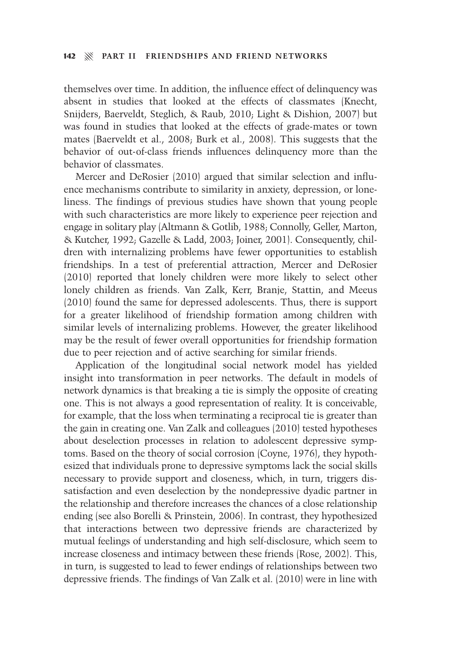themselves over time. In addition, the influence effect of delinquency was absent in studies that looked at the effects of classmates (Knecht, Snijders, Baerveldt, Steglich, & Raub, 2010; Light & Dishion, 2007) but was found in studies that looked at the effects of grade-mates or town mates (Baerveldt et al., 2008; Burk et al., 2008). This suggests that the behavior of out-of-class friends influences delinquency more than the behavior of classmates.

Mercer and DeRosier (2010) argued that similar selection and influence mechanisms contribute to similarity in anxiety, depression, or loneliness. The findings of previous studies have shown that young people with such characteristics are more likely to experience peer rejection and engage in solitary play (Altmann & Gotlib, 1988; Connolly, Geller, Marton, & Kutcher, 1992; Gazelle & Ladd, 2003; Joiner, 2001). Consequently, children with internalizing problems have fewer opportunities to establish friendships. In a test of preferential attraction, Mercer and DeRosier (2010) reported that lonely children were more likely to select other lonely children as friends. Van Zalk, Kerr, Branje, Stattin, and Meeus (2010) found the same for depressed adolescents. Thus, there is support for a greater likelihood of friendship formation among children with similar levels of internalizing problems. However, the greater likelihood may be the result of fewer overall opportunities for friendship formation due to peer rejection and of active searching for similar friends.

Application of the longitudinal social network model has yielded insight into transformation in peer networks. The default in models of network dynamics is that breaking a tie is simply the opposite of creating one. This is not always a good representation of reality. It is conceivable, for example, that the loss when terminating a reciprocal tie is greater than the gain in creating one. Van Zalk and colleagues (2010) tested hypotheses about deselection processes in relation to adolescent depressive symptoms. Based on the theory of social corrosion (Coyne, 1976), they hypothesized that individuals prone to depressive symptoms lack the social skills necessary to provide support and closeness, which, in turn, triggers dissatisfaction and even deselection by the nondepressive dyadic partner in the relationship and therefore increases the chances of a close relationship ending (see also Borelli & Prinstein, 2006). In contrast, they hypothesized that interactions between two depressive friends are characterized by mutual feelings of understanding and high self-disclosure, which seem to increase closeness and intimacy between these friends (Rose, 2002). This, in turn, is suggested to lead to fewer endings of relationships between two depressive friends. The findings of Van Zalk et al. (2010) were in line with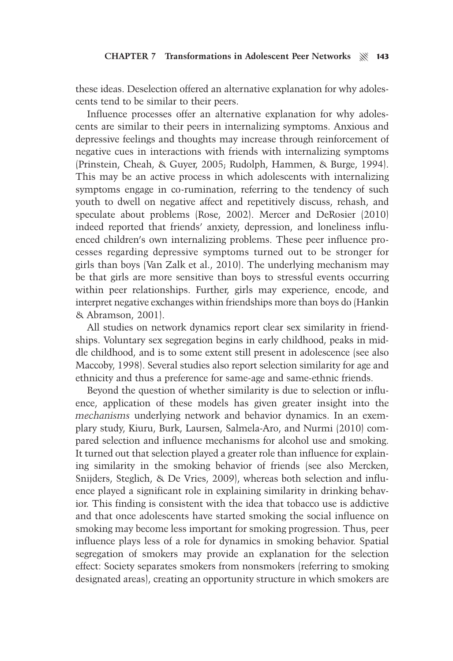these ideas. Deselection offered an alternative explanation for why adolescents tend to be similar to their peers.

Influence processes offer an alternative explanation for why adolescents are similar to their peers in internalizing symptoms. Anxious and depressive feelings and thoughts may increase through reinforcement of negative cues in interactions with friends with internalizing symptoms (Prinstein, Cheah, & Guyer, 2005; Rudolph, Hammen, & Burge, 1994). This may be an active process in which adolescents with internalizing symptoms engage in co-rumination, referring to the tendency of such youth to dwell on negative affect and repetitively discuss, rehash, and speculate about problems (Rose, 2002). Mercer and DeRosier (2010) indeed reported that friends' anxiety, depression, and loneliness influenced children's own internalizing problems. These peer influence processes regarding depressive symptoms turned out to be stronger for girls than boys (Van Zalk et al., 2010). The underlying mechanism may be that girls are more sensitive than boys to stressful events occurring within peer relationships. Further, girls may experience, encode, and interpret negative exchanges within friendships more than boys do (Hankin & Abramson, 2001).

All studies on network dynamics report clear sex similarity in friendships. Voluntary sex segregation begins in early childhood, peaks in middle childhood, and is to some extent still present in adolescence (see also Maccoby, 1998). Several studies also report selection similarity for age and ethnicity and thus a preference for same-age and same-ethnic friends.

Beyond the question of whether similarity is due to selection or influence, application of these models has given greater insight into the *mechanisms* underlying network and behavior dynamics. In an exemplary study, Kiuru, Burk, Laursen, Salmela-Aro, and Nurmi (2010) compared selection and influence mechanisms for alcohol use and smoking. It turned out that selection played a greater role than influence for explaining similarity in the smoking behavior of friends (see also Mercken, Snijders, Steglich, & De Vries, 2009), whereas both selection and influence played a significant role in explaining similarity in drinking behavior. This finding is consistent with the idea that tobacco use is addictive and that once adolescents have started smoking the social influence on smoking may become less important for smoking progression. Thus, peer influence plays less of a role for dynamics in smoking behavior. Spatial segregation of smokers may provide an explanation for the selection effect: Society separates smokers from nonsmokers (referring to smoking designated areas), creating an opportunity structure in which smokers are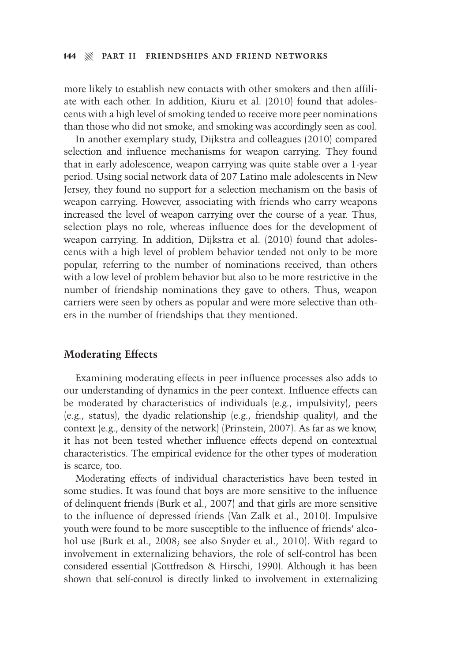more likely to establish new contacts with other smokers and then affiliate with each other. In addition, Kiuru et al. (2010) found that adolescents with a high level of smoking tended to receive more peer nominations than those who did not smoke, and smoking was accordingly seen as cool.

In another exemplary study, Dijkstra and colleagues (2010) compared selection and influence mechanisms for weapon carrying. They found that in early adolescence, weapon carrying was quite stable over a 1-year period. Using social network data of 207 Latino male adolescents in New Jersey, they found no support for a selection mechanism on the basis of weapon carrying. However, associating with friends who carry weapons increased the level of weapon carrying over the course of a year. Thus, selection plays no role, whereas influence does for the development of weapon carrying. In addition, Dijkstra et al. (2010) found that adolescents with a high level of problem behavior tended not only to be more popular, referring to the number of nominations received, than others with a low level of problem behavior but also to be more restrictive in the number of friendship nominations they gave to others. Thus, weapon carriers were seen by others as popular and were more selective than others in the number of friendships that they mentioned.

#### **Moderating Effects**

Examining moderating effects in peer influence processes also adds to our understanding of dynamics in the peer context. Influence effects can be moderated by characteristics of individuals (e.g., impulsivity), peers (e.g., status), the dyadic relationship (e.g., friendship quality), and the context (e.g., density of the network) (Prinstein, 2007). As far as we know, it has not been tested whether influence effects depend on contextual characteristics. The empirical evidence for the other types of moderation is scarce, too.

Moderating effects of individual characteristics have been tested in some studies. It was found that boys are more sensitive to the influence of delinquent friends (Burk et al., 2007) and that girls are more sensitive to the influence of depressed friends (Van Zalk et al., 2010). Impulsive youth were found to be more susceptible to the influence of friends' alcohol use (Burk et al., 2008; see also Snyder et al., 2010). With regard to involvement in externalizing behaviors, the role of self-control has been considered essential (Gottfredson & Hirschi, 1990). Although it has been shown that self-control is directly linked to involvement in externalizing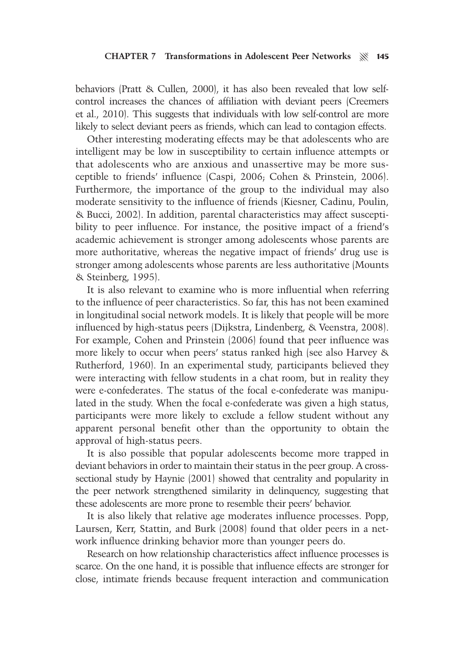behaviors (Pratt & Cullen, 2000), it has also been revealed that low selfcontrol increases the chances of affiliation with deviant peers (Creemers et al., 2010). This suggests that individuals with low self-control are more likely to select deviant peers as friends, which can lead to contagion effects.

Other interesting moderating effects may be that adolescents who are intelligent may be low in susceptibility to certain influence attempts or that adolescents who are anxious and unassertive may be more susceptible to friends' influence (Caspi, 2006; Cohen & Prinstein, 2006). Furthermore, the importance of the group to the individual may also moderate sensitivity to the influence of friends (Kiesner, Cadinu, Poulin, & Bucci, 2002). In addition, parental characteristics may affect susceptibility to peer influence. For instance, the positive impact of a friend's academic achievement is stronger among adolescents whose parents are more authoritative, whereas the negative impact of friends' drug use is stronger among adolescents whose parents are less authoritative (Mounts & Steinberg, 1995).

It is also relevant to examine who is more influential when referring to the influence of peer characteristics. So far, this has not been examined in longitudinal social network models. It is likely that people will be more influenced by high-status peers (Dijkstra, Lindenberg, & Veenstra, 2008). For example, Cohen and Prinstein (2006) found that peer influence was more likely to occur when peers' status ranked high (see also Harvey & Rutherford, 1960). In an experimental study, participants believed they were interacting with fellow students in a chat room, but in reality they were e-confederates. The status of the focal e-confederate was manipulated in the study. When the focal e-confederate was given a high status, participants were more likely to exclude a fellow student without any apparent personal benefit other than the opportunity to obtain the approval of high-status peers.

It is also possible that popular adolescents become more trapped in deviant behaviors in order to maintain their status in the peer group. A crosssectional study by Haynie (2001) showed that centrality and popularity in the peer network strengthened similarity in delinquency, suggesting that these adolescents are more prone to resemble their peers' behavior.

It is also likely that relative age moderates influence processes. Popp, Laursen, Kerr, Stattin, and Burk (2008) found that older peers in a network influence drinking behavior more than younger peers do.

Research on how relationship characteristics affect influence processes is scarce. On the one hand, it is possible that influence effects are stronger for close, intimate friends because frequent interaction and communication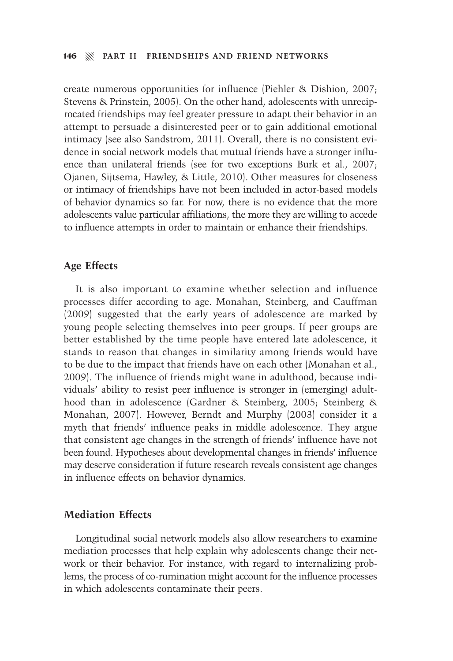create numerous opportunities for influence (Piehler & Dishion, 2007; Stevens & Prinstein, 2005). On the other hand, adolescents with unreciprocated friendships may feel greater pressure to adapt their behavior in an attempt to persuade a disinterested peer or to gain additional emotional intimacy (see also Sandstrom, 2011). Overall, there is no consistent evidence in social network models that mutual friends have a stronger influence than unilateral friends (see for two exceptions Burk et al., 2007; Ojanen, Sijtsema, Hawley, & Little, 2010). Other measures for closeness or intimacy of friendships have not been included in actor-based models of behavior dynamics so far. For now, there is no evidence that the more adolescents value particular affiliations, the more they are willing to accede to influence attempts in order to maintain or enhance their friendships.

#### **Age Effects**

It is also important to examine whether selection and influence processes differ according to age. Monahan, Steinberg, and Cauffman (2009) suggested that the early years of adolescence are marked by young people selecting themselves into peer groups. If peer groups are better established by the time people have entered late adolescence, it stands to reason that changes in similarity among friends would have to be due to the impact that friends have on each other (Monahan et al., 2009). The influence of friends might wane in adulthood, because individuals' ability to resist peer influence is stronger in (emerging) adulthood than in adolescence (Gardner & Steinberg, 2005; Steinberg & Monahan, 2007). However, Berndt and Murphy (2003) consider it a myth that friends' influence peaks in middle adolescence. They argue that consistent age changes in the strength of friends' influence have not been found. Hypotheses about developmental changes in friends' influence may deserve consideration if future research reveals consistent age changes in influence effects on behavior dynamics.

#### **Mediation Effects**

Longitudinal social network models also allow researchers to examine mediation processes that help explain why adolescents change their network or their behavior. For instance, with regard to internalizing problems, the process of co-rumination might account for the influence processes in which adolescents contaminate their peers.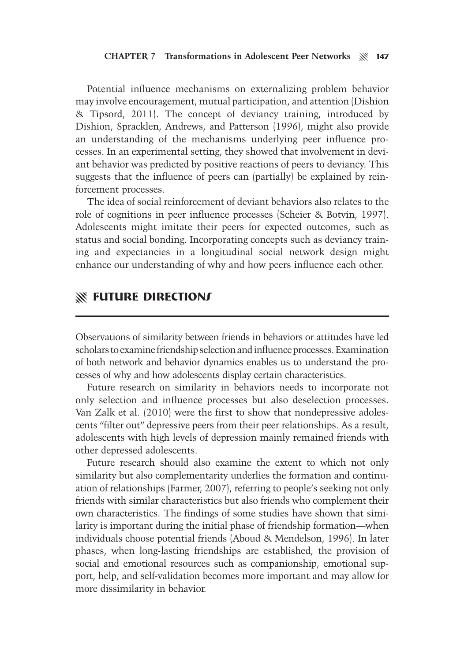Potential influence mechanisms on externalizing problem behavior may involve encouragement, mutual participation, and attention (Dishion & Tipsord, 2011). The concept of deviancy training, introduced by Dishion, Spracklen, Andrews, and Patterson (1996), might also provide an understanding of the mechanisms underlying peer influence processes. In an experimental setting, they showed that involvement in deviant behavior was predicted by positive reactions of peers to deviancy. This suggests that the influence of peers can (partially) be explained by reinforcement processes.

The idea of social reinforcement of deviant behaviors also relates to the role of cognitions in peer influence processes (Scheier & Botvin, 1997). Adolescents might imitate their peers for expected outcomes, such as status and social bonding. Incorporating concepts such as deviancy training and expectancies in a longitudinal social network design might enhance our understanding of why and how peers influence each other.

#### - **Future Directions**

Observations of similarity between friends in behaviors or attitudes have led scholars to examine friendship selection and influence processes. Examination of both network and behavior dynamics enables us to understand the processes of why and how adolescents display certain characteristics.

Future research on similarity in behaviors needs to incorporate not only selection and influence processes but also deselection processes. Van Zalk et al. (2010) were the first to show that nondepressive adolescents "filter out" depressive peers from their peer relationships. As a result, adolescents with high levels of depression mainly remained friends with other depressed adolescents.

Future research should also examine the extent to which not only similarity but also complementarity underlies the formation and continuation of relationships (Farmer, 2007), referring to people's seeking not only friends with similar characteristics but also friends who complement their own characteristics. The findings of some studies have shown that similarity is important during the initial phase of friendship formation—when individuals choose potential friends (Aboud & Mendelson, 1996). In later phases, when long-lasting friendships are established, the provision of social and emotional resources such as companionship, emotional support, help, and self-validation becomes more important and may allow for more dissimilarity in behavior.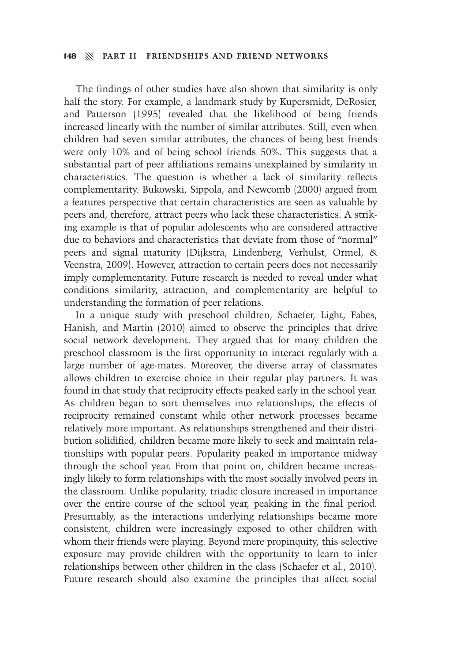The findings of other studies have also shown that similarity is only half the story. For example, a landmark study by Kupersmidt, DeRosier, and Patterson (1995) revealed that the likelihood of being friends increased linearly with the number of similar attributes. Still, even when children had seven similar attributes, the chances of being best friends were only 10% and of being school friends 50%. This suggests that a substantial part of peer affiliations remains unexplained by similarity in characteristics. The question is whether a lack of similarity reflects complementarity. Bukowski, Sippola, and Newcomb (2000) argued from a features perspective that certain characteristics are seen as valuable by peers and, therefore, attract peers who lack these characteristics. A striking example is that of popular adolescents who are considered attractive due to behaviors and characteristics that deviate from those of "normal" peers and signal maturity (Dijkstra, Lindenberg, Verhulst, Ormel, & Veenstra, 2009). However, attraction to certain peers does not necessarily imply complementarity. Future research is needed to reveal under what conditions similarity, attraction, and complementarity are helpful to understanding the formation of peer relations.

In a unique study with preschool children, Schaefer, Light, Fabes, Hanish, and Martin (2010) aimed to observe the principles that drive social network development. They argued that for many children the preschool classroom is the first opportunity to interact regularly with a large number of age-mates. Moreover, the diverse array of classmates allows children to exercise choice in their regular play partners. It was found in that study that reciprocity effects peaked early in the school year. As children began to sort themselves into relationships, the effects of reciprocity remained constant while other network processes became relatively more important. As relationships strengthened and their distribution solidified, children became more likely to seek and maintain relationships with popular peers. Popularity peaked in importance midway through the school year. From that point on, children became increasingly likely to form relationships with the most socially involved peers in the classroom. Unlike popularity, triadic closure increased in importance over the entire course of the school year, peaking in the final period. Presumably, as the interactions underlying relationships became more consistent, children were increasingly exposed to other children with whom their friends were playing. Beyond mere propinquity, this selective exposure may provide children with the opportunity to learn to infer relationships between other children in the class (Schaefer et al., 2010). Future research should also examine the principles that affect social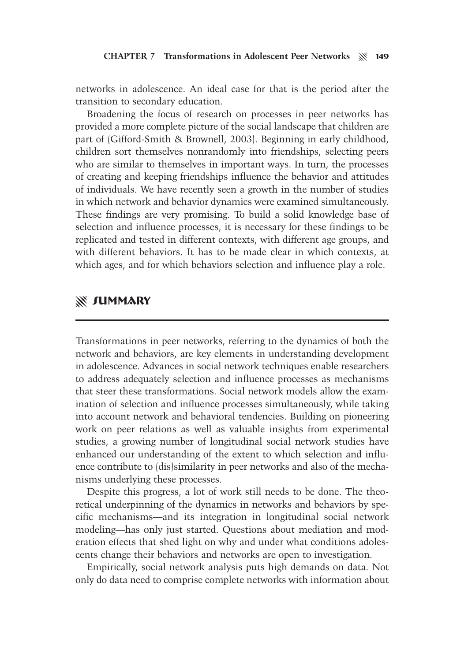networks in adolescence. An ideal case for that is the period after the transition to secondary education.

Broadening the focus of research on processes in peer networks has provided a more complete picture of the social landscape that children are part of (Gifford-Smith & Brownell, 2003). Beginning in early childhood, children sort themselves nonrandomly into friendships, selecting peers who are similar to themselves in important ways. In turn, the processes of creating and keeping friendships influence the behavior and attitudes of individuals. We have recently seen a growth in the number of studies in which network and behavior dynamics were examined simultaneously. These findings are very promising. To build a solid knowledge base of selection and influence processes, it is necessary for these findings to be replicated and tested in different contexts, with different age groups, and with different behaviors. It has to be made clear in which contexts, at which ages, and for which behaviors selection and influence play a role.

#### - **Summary**

Transformations in peer networks, referring to the dynamics of both the network and behaviors, are key elements in understanding development in adolescence. Advances in social network techniques enable researchers to address adequately selection and influence processes as mechanisms that steer these transformations. Social network models allow the examination of selection and influence processes simultaneously, while taking into account network and behavioral tendencies. Building on pioneering work on peer relations as well as valuable insights from experimental studies, a growing number of longitudinal social network studies have enhanced our understanding of the extent to which selection and influence contribute to (dis)similarity in peer networks and also of the mechanisms underlying these processes.

Despite this progress, a lot of work still needs to be done. The theoretical underpinning of the dynamics in networks and behaviors by specific mechanisms—and its integration in longitudinal social network modeling—has only just started. Questions about mediation and moderation effects that shed light on why and under what conditions adolescents change their behaviors and networks are open to investigation.

Empirically, social network analysis puts high demands on data. Not only do data need to comprise complete networks with information about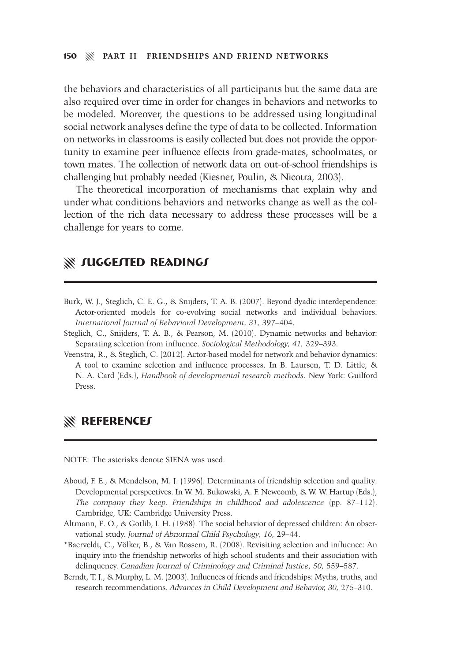the behaviors and characteristics of all participants but the same data are also required over time in order for changes in behaviors and networks to be modeled. Moreover, the questions to be addressed using longitudinal social network analyses define the type of data to be collected. Information on networks in classrooms is easily collected but does not provide the opportunity to examine peer influence effects from grade-mates, schoolmates, or town mates. The collection of network data on out-of-school friendships is challenging but probably needed (Kiesner, Poulin, & Nicotra, 2003).

The theoretical incorporation of mechanisms that explain why and under what conditions behaviors and networks change as well as the collection of the rich data necessary to address these processes will be a challenge for years to come.

#### - **Suggested Readings**

- Burk, W. J., Steglich, C. E. G., & Snijders, T. A. B. (2007). Beyond dyadic interdependence: Actor-oriented models for co-evolving social networks and individual behaviors. *International Journal of Behavioral Development, 31,* 397–404.
- Steglich, C., Snijders, T. A. B., & Pearson, M. (2010). Dynamic networks and behavior: Separating selection from influence. *Sociological Methodology, 41,* 329–393.
- Veenstra, R., & Steglich, C. (2012). Actor-based model for network and behavior dynamics: A tool to examine selection and influence processes. In B. Laursen, T. D. Little, & N. A. Card (Eds.), *Handbook of developmental research methods.* New York: Guilford Press.

#### **EXERENCES**

NOTE: The asterisks denote SIENA was used.

- Aboud, F. E., & Mendelson, M. J. (1996). Determinants of friendship selection and quality: Developmental perspectives. In W. M. Bukowski, A. F. Newcomb, & W. W. Hartup (Eds.), *The company they keep. Friendships in childhood and adolescence* (pp. 87–112). Cambridge, UK: Cambridge University Press.
- Altmann, E. O., & Gotlib, I. H. (1988). The social behavior of depressed children: An observational study. *Journal of Abnormal Child Psychology, 16,* 29–44.
- \*Baerveldt, C., Völker, B., & Van Rossem, R. (2008). Revisiting selection and influence: An inquiry into the friendship networks of high school students and their association with delinquency. *Canadian Journal of Criminology and Criminal Justice, 50,* 559–587.
- Berndt, T. J., & Murphy, L. M. (2003). Influences of friends and friendships: Myths, truths, and research recommendations. *Advances in Child Development and Behavior, 30,* 275–310.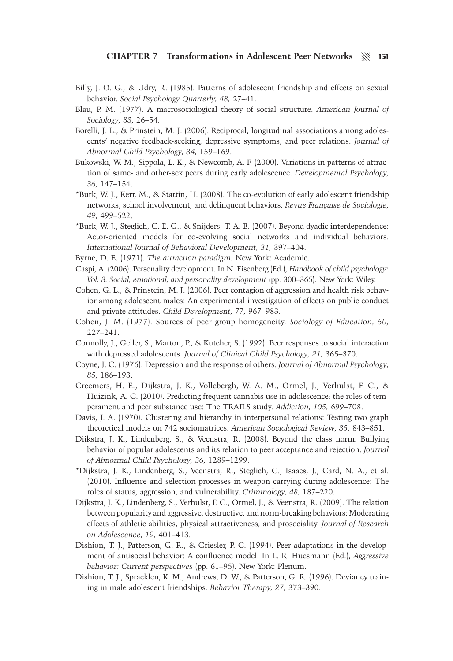- Billy, J. O. G., & Udry, R. (1985). Patterns of adolescent friendship and effects on sexual behavior. *Social Psychology Quarterly, 48,* 27–41.
- Blau, P. M. (1977). A macrosociological theory of social structure. *American Journal of Sociology, 83,* 26–54.
- Borelli, J. L., & Prinstein, M. J. (2006). Reciprocal, longitudinal associations among adolescents' negative feedback-seeking, depressive symptoms, and peer relations. *Journal of Abnormal Child Psychology, 34,* 159–169.
- Bukowski, W. M., Sippola, L. K., & Newcomb, A. F. (2000). Variations in patterns of attraction of same- and other-sex peers during early adolescence. *Developmental Psychology, 36,* 147–154.
- \*Burk, W. J., Kerr, M., & Stattin, H. (2008). The co-evolution of early adolescent friendship networks, school involvement, and delinquent behaviors. *Revue Française de Sociologie, 49,* 499–522.
- \*Burk, W. J., Steglich, C. E. G., & Snijders, T. A. B. (2007). Beyond dyadic interdependence: Actor-oriented models for co-evolving social networks and individual behaviors. *International Journal of Behavioral Development, 31,* 397–404.
- Byrne, D. E. (1971). *The attraction paradigm.* New York: Academic.
- Caspi, A. (2006). Personality development. In N. Eisenberg (Ed.), *Handbook of child psychology: Vol. 3. Social, emotional, and personality development* (pp. 300–365). New York: Wiley.
- Cohen, G. L., & Prinstein, M. J. (2006). Peer contagion of aggression and health risk behavior among adolescent males: An experimental investigation of effects on public conduct and private attitudes. *Child Development, 77,* 967–983.
- Cohen, J. M. (1977). Sources of peer group homogeneity. *Sociology of Education, 50,* 227–241.
- Connolly, J., Geller, S., Marton, P., & Kutcher, S. (1992). Peer responses to social interaction with depressed adolescents. *Journal of Clinical Child Psychology, 21,* 365–370.
- Coyne, J. C. (1976). Depression and the response of others. *Journal of Abnormal Psychology, 85,* 186–193.
- Creemers, H. E., Dijkstra, J. K., Vollebergh, W. A. M., Ormel, J., Verhulst, F. C., & Huizink, A. C. (2010). Predicting frequent cannabis use in adolescence; the roles of temperament and peer substance use: The TRAILS study. *Addiction, 105,* 699–708.
- Davis, J. A. (1970). Clustering and hierarchy in interpersonal relations: Testing two graph theoretical models on 742 sociomatrices. *American Sociological Review, 35,* 843–851.
- Dijkstra, J. K., Lindenberg, S., & Veenstra, R. (2008). Beyond the class norm: Bullying behavior of popular adolescents and its relation to peer acceptance and rejection. *Journal of Abnormal Child Psychology, 36,* 1289–1299.
- \*Dijkstra, J. K., Lindenberg, S., Veenstra, R., Steglich, C., Isaacs, J., Card, N. A., et al. (2010). Influence and selection processes in weapon carrying during adolescence: The roles of status, aggression, and vulnerability. *Criminology, 48,* 187–220.
- Dijkstra, J. K., Lindenberg, S., Verhulst, F. C., Ormel, J., & Veenstra, R. (2009). The relation between popularity and aggressive, destructive, and norm-breaking behaviors: Moderating effects of athletic abilities, physical attractiveness, and prosociality. *Journal of Research on Adolescence, 19,* 401–413.
- Dishion, T. J., Patterson, G. R., & Griesler, P. C. (1994). Peer adaptations in the development of antisocial behavior: A confluence model. In L. R. Huesmann (Ed.), *Aggressive behavior: Current perspectives* (pp. 61–95). New York: Plenum.
- Dishion, T. J., Spracklen, K. M., Andrews, D. W., & Patterson, G. R. (1996). Deviancy training in male adolescent friendships. *Behavior Therapy, 27,* 373–390.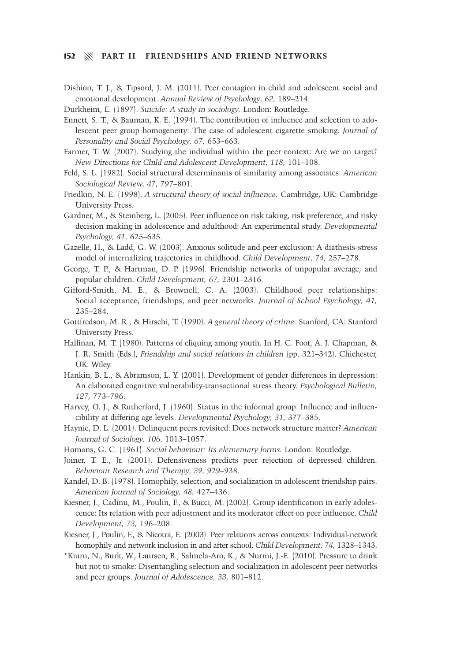- Dishion, T. J., & Tipsord, J. M. (2011). Peer contagion in child and adolescent social and emotional development. *Annual Review of Psychology, 62,* 189–214.
- Durkheim, E. (1897). *Suicide: A study in sociology.* London: Routledge.
- Ennett, S. T., & Bauman, K. E. (1994). The contribution of influence and selection to adolescent peer group homogeneity: The case of adolescent cigarette smoking. *Journal of Personality and Social Psychology, 67,* 653–663.
- Farmer, T. W. (2007). Studying the individual within the peer context: Are we on target? *New Directions for Child and Adolescent Development, 118,* 101–108.
- Feld, S. L. (1982). Social structural determinants of similarity among associates. *American Sociological Review, 47,* 797–801.
- Friedkin, N. E. (1998). *A structural theory of social influence.* Cambridge, UK: Cambridge University Press.
- Gardner, M., & Steinberg, L. (2005). Peer influence on risk taking, risk preference, and risky decision making in adolescence and adulthood: An experimental study. *Developmental Psychology, 41,* 625–635.
- Gazelle, H., & Ladd, G. W. (2003). Anxious solitude and peer exclusion: A diathesis-stress model of internalizing trajectories in childhood. *Child Development, 74,* 257–278.
- George, T. P., & Hartman, D. P. (1996). Friendship networks of unpopular average, and popular children. *Child Development, 67,* 2301–2316.
- Gifford-Smith, M. E., & Brownell, C. A. (2003). Childhood peer relationships: Social acceptance, friendships, and peer networks. *Journal of School Psychology, 41,* 235–284.
- Gottfredson, M. R., & Hirschi, T. (1990). *A general theory of crime.* Stanford, CA: Stanford University Press.
- Hallinan, M. T. (1980). Patterns of cliquing among youth. In H. C. Foot, A. J. Chapman, & J. R. Smith (Eds.), *Friendship and social relations in children* (pp. 321–342). Chichester, UK: Wiley.
- Hankin, B. L., & Abramson, L. Y. (2001). Development of gender differences in depression: An elaborated cognitive vulnerability-transactional stress theory. *Psychological Bulletin, 127,* 773–796.
- Harvey, O. J., & Rutherford, J. (1960). Status in the informal group: Influence and influencibility at differing age levels. *Developmental Psychology, 31,* 377–385.
- Haynie, D. L. (2001). Delinquent peers revisited: Does network structure matter? *American Journal of Sociology, 106,* 1013–1057.
- Homans, G. C. (1961). *Social behaviour: Its elementary forms.* London: Routledge.
- Joiner, T. E., Jr. (2001). Defensiveness predicts peer rejection of depressed children. *Behaviour Research and Therapy, 39,* 929–938.
- Kandel, D. B. (1978). Homophily, selection, and socialization in adolescent friendship pairs. *American Journal of Sociology, 48,* 427–436.
- Kiesner, J., Cadinu, M., Poulin, F., & Bucci, M. (2002). Group identification in early adolescence: Its relation with peer adjustment and its moderator effect on peer influence. *Child Development, 73,* 196–208.
- Kiesner, J., Poulin, F., & Nicotra, E. (2003). Peer relations across contexts: Individual-network homophily and network inclusion in and after school. *Child Development, 74,* 1328–1343.
- \*Kiuru, N., Burk, W., Laursen, B., Salmela-Aro, K., & Nurmi, J.-E. (2010). Pressure to drink but not to smoke: Disentangling selection and socialization in adolescent peer networks and peer groups. *Journal of Adolescence, 33,* 801–812.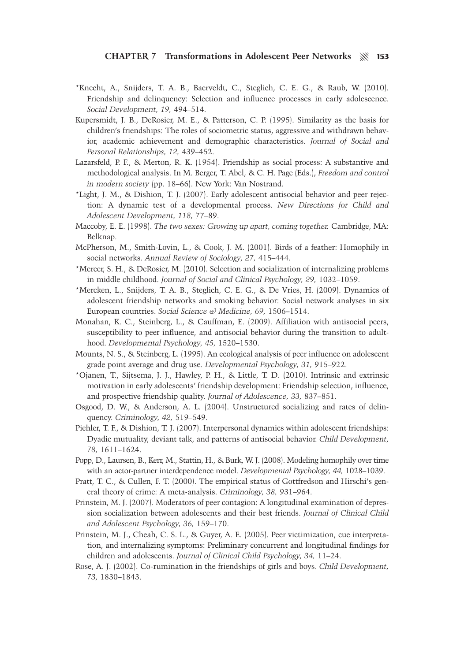- \*Knecht, A., Snijders, T. A. B., Baerveldt, C., Steglich, C. E. G., & Raub, W. (2010). Friendship and delinquency: Selection and influence processes in early adolescence. *Social Development, 19,* 494–514.
- Kupersmidt, J. B., DeRosier, M. E., & Patterson, C. P. (1995). Similarity as the basis for children's friendships: The roles of sociometric status, aggressive and withdrawn behavior, academic achievement and demographic characteristics. *Journal of Social and Personal Relationships, 12,* 439–452.
- Lazarsfeld, P. F., & Merton, R. K. (1954). Friendship as social process: A substantive and methodological analysis. In M. Berger, T. Abel, & C. H. Page (Eds.), *Freedom and control in modern society* (pp. 18–66). New York: Van Nostrand.
- \*Light, J. M., & Dishion, T. J. (2007). Early adolescent antisocial behavior and peer rejection: A dynamic test of a developmental process. *New Directions for Child and Adolescent Development, 118,* 77–89.
- Maccoby, E. E. (1998). *The two sexes: Growing up apart, coming together.* Cambridge, MA: Belknap.
- McPherson, M., Smith-Lovin, L., & Cook, J. M. (2001). Birds of a feather: Homophily in social networks. *Annual Review of Sociology, 27,* 415–444.
- \*Mercer, S. H., & DeRosier, M. (2010). Selection and socialization of internalizing problems in middle childhood. *Journal of Social and Clinical Psychology, 29,* 1032–1059.
- \*Mercken, L., Snijders, T. A. B., Steglich, C. E. G., & De Vries, H. (2009). Dynamics of adolescent friendship networks and smoking behavior: Social network analyses in six European countries. *Social Science & Medicine, 69,* 1506–1514.
- Monahan, K. C., Steinberg, L., & Cauffman, E. (2009). Affiliation with antisocial peers, susceptibility to peer influence, and antisocial behavior during the transition to adulthood. *Developmental Psychology, 45,* 1520–1530.
- Mounts, N. S., & Steinberg, L. (1995). An ecological analysis of peer influence on adolescent grade point average and drug use. *Developmental Psychology, 31,* 915–922.
- \*Ojanen, T., Sijtsema, J. J., Hawley, P. H., & Little, T. D. (2010). Intrinsic and extrinsic motivation in early adolescents' friendship development: Friendship selection, influence, and prospective friendship quality. *Journal of Adolescence, 33,* 837–851.
- Osgood, D. W., & Anderson, A. L. (2004). Unstructured socializing and rates of delinquency. *Criminology, 42,* 519–549.
- Piehler, T. F., & Dishion, T. J. (2007). Interpersonal dynamics within adolescent friendships: Dyadic mutuality, deviant talk, and patterns of antisocial behavior. *Child Development, 78,* 1611–1624.
- Popp, D., Laursen, B., Kerr, M., Stattin, H., & Burk, W. J. (2008). Modeling homophily over time with an actor-partner interdependence model. *Developmental Psychology, 44,* 1028–1039.
- Pratt, T. C., & Cullen, F. T. (2000). The empirical status of Gottfredson and Hirschi's general theory of crime: A meta-analysis. *Criminology, 38,* 931–964.
- Prinstein, M. J. (2007). Moderators of peer contagion: A longitudinal examination of depression socialization between adolescents and their best friends. *Journal of Clinical Child and Adolescent Psychology, 36,* 159–170.
- Prinstein, M. J., Cheah, C. S. L., & Guyer, A. E. (2005). Peer victimization, cue interpretation, and internalizing symptoms: Preliminary concurrent and longitudinal findings for children and adolescents. *Journal of Clinical Child Psychology, 34,* 11–24.
- Rose, A. J. (2002). Co-rumination in the friendships of girls and boys. *Child Development, 73,* 1830–1843.